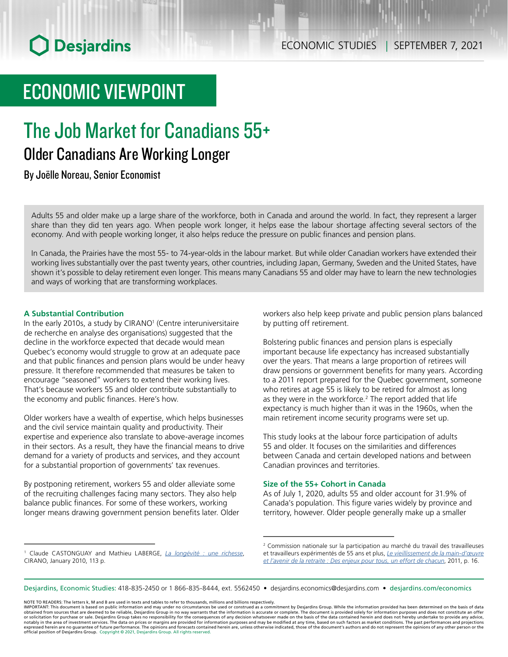## ECONOMIC VIEWPOINT

# The Job Market for Canadians 55+

## Older Canadians Are Working Longer

By Joëlle Noreau, Senior Economist

Adults 55 and older make up a large share of the workforce, both in Canada and around the world. In fact, they represent a larger share than they did ten years ago. When people work longer, it helps ease the labour shortage affecting several sectors of the economy. And with people working longer, it also helps reduce the pressure on public finances and pension plans.

In Canada, the Prairies have the most 55- to 74-year-olds in the labour market. But while older Canadian workers have extended their working lives substantially over the past twenty years, other countries, including Japan, Germany, Sweden and the United States, have shown it's possible to delay retirement even longer. This means many Canadians 55 and older may have to learn the new technologies and ways of working that are transforming workplaces.

## **A Substantial Contribution**

In the early 2010s, a study by CIRANO<sup>1</sup> (Centre interuniversitaire de recherche en analyse des organisations) suggested that the decline in the workforce expected that decade would mean Quebec's economy would struggle to grow at an adequate pace and that public finances and pension plans would be under heavy pressure. It therefore recommended that measures be taken to encourage "seasoned" workers to extend their working lives. That's because workers 55 and older contribute substantially to the economy and public finances. Here's how.

Older workers have a wealth of expertise, which helps businesses and the civil service maintain quality and productivity. Their expertise and experience also translate to above-average incomes in their sectors. As a result, they have the financial means to drive demand for a variety of products and services, and they account for a substantial proportion of governments' tax revenues.

By postponing retirement, workers 55 and older alleviate some of the recruiting challenges facing many sectors. They also help balance public finances. For some of these workers, working longer means drawing government pension benefits later. Older

workers also help keep private and public pension plans balanced by putting off retirement.

Bolstering public finances and pension plans is especially important because life expectancy has increased substantially over the years. That means a large proportion of retirees will draw pensions or government benefits for many years. According to a 2011 report prepared for the Quebec government, someone who retires at age 55 is likely to be retired for almost as long as they were in the workforce. $2$  The report added that life expectancy is much higher than it was in the 1960s, when the main retirement income security programs were set up.

This study looks at the labour force participation of adults 55 and older. It focuses on the similarities and differences between Canada and certain developed nations and between Canadian provinces and territories.

## **Size of the 55+ Cohort in Canada**

As of July 1, 2020, adults 55 and older account for 31.9% of Canada's population. This figure varies widely by province and territory, however. Older people generally make up a smaller

Desjardins, Economic Studies: 418-835-2450 or 1 866-835-8444, ext. 5562450 • desjardins.economics@desjardins.com • [desjardins.com/economics](http://desjardins.com/economics)

NOTE TO READERS: The letters k, M and B are used in texts and tables to refer to thousands, millions and billions respectively.

<sup>1</sup> Claude CASTONGUAY and Mathieu LABERGE, *[La longévité : une richesse](https://cirano.qc.ca/pdf/publication/2010RP-01.pdf)*, CIRANO, January 2010, 113 p.

<sup>2</sup> Commission nationale sur la participation au marché du travail des travailleuses et travailleurs expérimentés de 55 ans et plus, *[Le vieillissement de la main-d'œuvre](https://www.mtess.gouv.qc.ca/publications/pdf/GD_rapport_synthese_commission_nationale.pdf) [et l'avenir de la retraite : Des enjeux pour tous, un effort de chacun](https://www.mtess.gouv.qc.ca/publications/pdf/GD_rapport_synthese_commission_nationale.pdf)*, 2011, p. 16.

IMPORTANT: This document is based on public information and may under no circumstances be used or construed as a commitment by Desjardins Group. While the information provided has been determined on the basis of data<br>obtai notably in the area of investment services. The data on prices or margins are provided for information purposes and may be modified at any time, based on such factors as market conditions. The past performances and project expressed herein are no guarantee of future performance. The opinions and forecasts contained herein are, unless otherwise indicated, those of the document's authors and do not represent the opinions of any other person or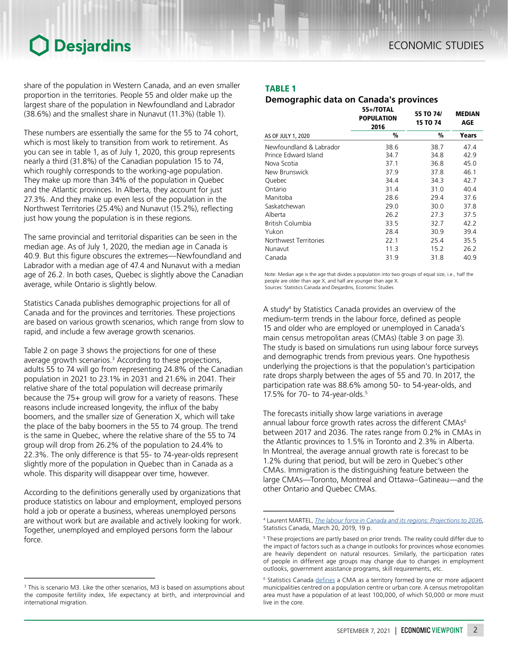share of the population in Western Canada, and an even smaller proportion in the territories. People 55 and older make up the largest share of the population in Newfoundland and Labrador (38.6%) and the smallest share in Nunavut (11.3%) (table 1).

These numbers are essentially the same for the 55 to 74 cohort, which is most likely to transition from work to retirement. As you can see in table 1, as of July 1, 2020, this group represents nearly a third (31.8%) of the Canadian population 15 to 74, which roughly corresponds to the working-age population. They make up more than 34% of the population in Quebec and the Atlantic provinces. In Alberta, they account for just 27.3%. And they make up even less of the population in the Northwest Territories (25.4%) and Nunavut (15.2%), reflecting just how young the population is in these regions.

The same provincial and territorial disparities can be seen in the median age. As of July 1, 2020, the median age in Canada is 40.9. But this figure obscures the extremes—Newfoundland and Labrador with a median age of 47.4 and Nunavut with a median age of 26.2. In both cases, Quebec is slightly above the Canadian average, while Ontario is slightly below.

Statistics Canada publishes demographic projections for all of Canada and for the provinces and territories. These projections are based on various growth scenarios, which range from slow to rapid, and include a few average growth scenarios.

Table 2 on page 3 shows the projections for one of these average growth scenarios.<sup>3</sup> According to these projections, adults 55 to 74 will go from representing 24.8% of the Canadian population in 2021 to 23.1% in 2031 and 21.6% in 2041. Their relative share of the total population will decrease primarily because the 75+ group will grow for a variety of reasons. These reasons include increased longevity, the influx of the baby boomers, and the smaller size of Generation X, which will take the place of the baby boomers in the 55 to 74 group. The trend is the same in Quebec, where the relative share of the 55 to 74 group will drop from 26.2% of the population to 24.4% to 22.3%. The only difference is that 55- to 74-year-olds represent slightly more of the population in Quebec than in Canada as a whole. This disparity will disappear over time, however.

According to the definitions generally used by organizations that produce statistics on labour and employment, employed persons hold a job or operate a business, whereas unemployed persons are without work but are available and actively looking for work. Together, unemployed and employed persons form the labour force.

## TABLE 1

## *Demographic data on Canada's provinces*

|                         | 55+/TOTAL<br><b>POPULATION</b><br>2016 | 55 TO 74/<br><b>15 TO 74</b> | <b>MEDIAN</b><br>AGE |
|-------------------------|----------------------------------------|------------------------------|----------------------|
| AS OF JULY 1, 2020      | %                                      | %                            | Years                |
| Newfoundland & Labrador | 38.6                                   | 38.7                         | 47.4                 |
| Prince Edward Island    | 34.7                                   | 34.8                         | 42.9                 |
| Nova Scotia             | 37.1                                   | 36.8                         | 45.0                 |
| New Brunswick           | 37.9                                   | 37.8                         | 46.1                 |
| Quebec                  | 34.4                                   | 34.3                         | 42.7                 |
| Ontario                 | 31.4                                   | 31.0                         | 40.4                 |
| Manitoba                | 28.6                                   | 29.4                         | 37.6                 |
| Saskatchewan            | 29.0                                   | 30.0                         | 37.8                 |
| Alberta                 | 26.2                                   | 27.3                         | 37.5                 |
| British Columbia        | 33.5                                   | 32.7                         | 42.2                 |
| Yukon                   | 28.4                                   | 30.9                         | 39.4                 |
| Northwest Territories   | 22.1                                   | 25.4                         | 35.5                 |
| Nunavut                 | 11.3                                   | 15.2                         | 26.2                 |
| Canada                  | 31.9                                   | 31.8                         | 40.9                 |

Note: Median age is the age that divides a population into two groups of equal size, i.e., half the people are older than age X, and half are younger than age X. Sources: Statistics Canada and Desjardins, Economic Studies

A study4 by Statistics Canada provides an overview of the medium-term trends in the labour force, defined as people 15 and older who are employed or unemployed in Canada's main census metropolitan areas (CMAs) (table 3 on page 3). The study is based on simulations run using labour force surveys and demographic trends from previous years. One hypothesis underlying the projections is that the population's participation rate drops sharply between the ages of 55 and 70. In 2017, the participation rate was 88.6% among 50- to 54-year-olds, and 17.5% for 70- to 74-year-olds.5

The forecasts initially show large variations in average annual labour force growth rates across the different CMAs<sup>6</sup> between 2017 and 2036. The rates range from 0.2% in CMAs in the Atlantic provinces to 1.5% in Toronto and 2.3% in Alberta. In Montreal, the average annual growth rate is forecast to be 1.2% during that period, but will be zero in Quebec's other CMAs. Immigration is the distinguishing feature between the large CMAs—Toronto, Montreal and Ottawa–Gatineau—and the other Ontario and Quebec CMAs.

<sup>&</sup>lt;sup>3</sup> This is scenario M3. Like the other scenarios, M3 is based on assumptions about the composite fertility index, life expectancy at birth, and interprovincial and international migration.

<sup>4</sup> Laurent MARTEL, *[The labour force in Canada and its regions: Projections to 2036](https://www150.statcan.gc.ca/n1/fr/pub/75-006-x/2019001/article/00004-eng.pdf?st=EWoRMS4K)*, Statistics Canada, March 20, 2019, 19 p.

<sup>&</sup>lt;sup>5</sup> These projections are partly based on prior trends. The reality could differ due to the impact of factors such as a change in outlooks for provinces whose economies are heavily dependent on natural resources. Similarly, the participation rates of people in different age groups may change due to changes in employment outlooks, government assistance programs, skill requirements, etc.

<sup>&</sup>lt;sup>6</sup> Statistics Canada *[defines](https://www150.statcan.gc.ca/n1/pub/93-600-x/2010000/definitions-eng.htm)* a CMA as a territory formed by one or more adjacent municipalities centred on a population centre or urban core. A census metropolitan area must have a population of at least 100,000, of which 50,000 or more must live in the core.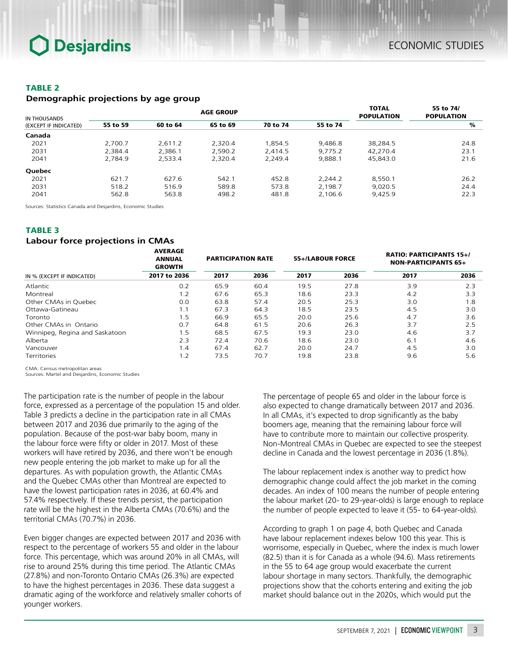## TABLE 2

### *Demographic projections by age group*

| IN THOUSANDS          |          |          | <b>AGE GROUP</b> |          |          | <b>TOTAL</b><br><b>POPULATION</b> | 55 to 74/<br><b>POPULATION</b> |
|-----------------------|----------|----------|------------------|----------|----------|-----------------------------------|--------------------------------|
| (EXCEPT IF INDICATED) | 55 to 59 | 60 to 64 | 65 to 69         | 70 to 74 | 55 to 74 |                                   | %                              |
| Canada                |          |          |                  |          |          |                                   |                                |
| 2021                  | 2.700.7  | 2.611.2  | 2.320.4          | 1.854.5  | 9.486.8  | 38,284.5                          | 24.8                           |
| 2031                  | 2,384.4  | 2.386.1  | 2.590.2          | 2.414.5  | 9.775.2  | 42.270.4                          | 23.1                           |
| 2041                  | 2.784.9  | 2.533.4  | 2.320.4          | 2.249.4  | 9.888.1  | 45,843.0                          | 21.6                           |
| Quebec                |          |          |                  |          |          |                                   |                                |
| 2021                  | 621.7    | 627.6    | 542.1            | 452.8    | 2.244.2  | 8.550.1                           | 26.2                           |
| 2031                  | 518.2    | 516.9    | 589.8            | 573.8    | 2.198.7  | 9.020.5                           | 24.4                           |
| 2041                  | 562.8    | 563.8    | 498.2            | 481.8    | 2,106.6  | 9.425.9                           | 22.3                           |

Sources: Statistics Canada and Desjardins, Economic Studies

## TABLE 3

## *Labour force projections in CMAs*

|                                | <b>AVERAGE</b><br><b>ANNUAL</b><br><b>GROWTH</b> | <b>PARTICIPATION RATE</b> |      | 55+/LABOUR FORCE |      | <b>RATIO: PARTICIPANTS 15+/</b><br><b>NON-PARTICIPANTS 65+</b> |      |
|--------------------------------|--------------------------------------------------|---------------------------|------|------------------|------|----------------------------------------------------------------|------|
| IN % (EXCEPT IF INDICATED)     | 2017 to 2036                                     | 2017                      | 2036 | 2017             | 2036 | 2017                                                           | 2036 |
| Atlantic                       | 0.2                                              | 65.9                      | 60.4 | 19.5             | 27.8 | 3.9                                                            | 2.3  |
| Montreal                       | 1.2                                              | 67.6                      | 65.3 | 18.6             | 23.3 | 4.2                                                            | 3.3  |
| Other CMAs in Ouebec           | 0.0                                              | 63.8                      | 57.4 | 20.5             | 25.3 | 3.0                                                            | 1.8  |
| Ottawa-Gatineau                | 1.1                                              | 67.3                      | 64.3 | 18.5             | 23.5 | 4.5                                                            | 3.0  |
| Toronto                        | 1.5                                              | 66.9                      | 65.5 | 20.0             | 25.6 | 4.7                                                            | 3.6  |
| Other CMAs in Ontario          | 0.7                                              | 64.8                      | 61.5 | 20.6             | 26.3 | 3.7                                                            | 2.5  |
| Winnipeg, Regina and Saskatoon | 1.5                                              | 68.5                      | 67.5 | 19.3             | 23.0 | 4.6                                                            | 3.7  |
| Alberta                        | 2.3                                              | 72.4                      | 70.6 | 18.6             | 23.0 | 6.1                                                            | 4.6  |
| Vancouver                      | 1.4                                              | 67.4                      | 62.7 | 20.0             | 24.7 | 4.5                                                            | 3.0  |
| <b>Territories</b>             | 1.2                                              | 73.5                      | 70.7 | 19.8             | 23.8 | 9.6                                                            | 5.6  |

CMA: Census metropolitan areas

Sources: Martel and Desjardins, Economic Studies

The participation rate is the number of people in the labour force, expressed as a percentage of the population 15 and older. Table 3 predicts a decline in the participation rate in all CMAs between 2017 and 2036 due primarily to the aging of the population. Because of the post-war baby boom, many in the labour force were fifty or older in 2017. Most of these workers will have retired by 2036, and there won't be enough new people entering the job market to make up for all the departures. As with population growth, the Atlantic CMAs and the Quebec CMAs other than Montreal are expected to have the lowest participation rates in 2036, at 60.4% and 57.4% respectively. If these trends persist, the participation rate will be the highest in the Alberta CMAs (70.6%) and the territorial CMAs (70.7%) in 2036.

Even bigger changes are expected between 2017 and 2036 with respect to the percentage of workers 55 and older in the labour force. This percentage, which was around 20% in all CMAs, will rise to around 25% during this time period. The Atlantic CMAs (27.8%) and non-Toronto Ontario CMAs (26.3%) are expected to have the highest percentages in 2036. These data suggest a dramatic aging of the workforce and relatively smaller cohorts of younger workers.

The percentage of people 65 and older in the labour force is also expected to change dramatically between 2017 and 2036. In all CMAs, it's expected to drop significantly as the baby boomers age, meaning that the remaining labour force will have to contribute more to maintain our collective prosperity. Non-Montreal CMAs in Quebec are expected to see the steepest decline in Canada and the lowest percentage in 2036 (1.8%).

The labour replacement index is another way to predict how demographic change could affect the job market in the coming decades. An index of 100 means the number of people entering the labour market (20- to 29-year-olds) is large enough to replace the number of people expected to leave it (55- to 64-year-olds).

According to graph 1 on page 4, both Quebec and Canada have labour replacement indexes below 100 this year. This is worrisome, especially in Quebec, where the index is much lower (82.5) than it is for Canada as a whole (94.6). Mass retirements in the 55 to 64 age group would exacerbate the current labour shortage in many sectors. Thankfully, the demographic projections show that the cohorts entering and exiting the job market should balance out in the 2020s, which would put the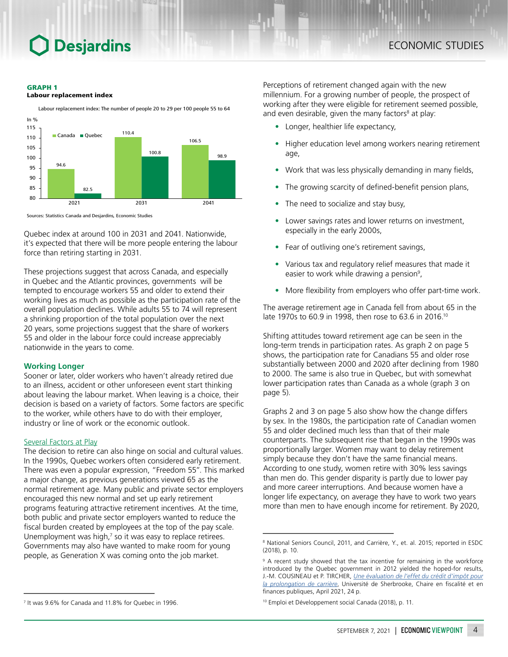#### GRAPH 1





Labour replacement index: The number of people 20 to 29 per 100 people 55 to 64

Sources: Statistics Canada and Desjardins, Economic Studies

Quebec index at around 100 in 2031 and 2041. Nationwide, it's expected that there will be more people entering the labour force than retiring starting in 2031.

These projections suggest that across Canada, and especially in Quebec and the Atlantic provinces, governments will be tempted to encourage workers 55 and older to extend their working lives as much as possible as the participation rate of the overall population declines. While adults 55 to 74 will represent a shrinking proportion of the total population over the next 20 years, some projections suggest that the share of workers 55 and older in the labour force could increase appreciably nationwide in the years to come.

#### **Working Longer**

Sooner or later, older workers who haven't already retired due to an illness, accident or other unforeseen event start thinking about leaving the labour market. When leaving is a choice, their decision is based on a variety of factors. Some factors are specific to the worker, while others have to do with their employer, industry or line of work or the economic outlook.

#### Several Factors at Play

The decision to retire can also hinge on social and cultural values. In the 1990s, Quebec workers often considered early retirement. There was even a popular expression, "Freedom 55". This marked a major change, as previous generations viewed 65 as the normal retirement age. Many public and private sector employers encouraged this new normal and set up early retirement programs featuring attractive retirement incentives. At the time, both public and private sector employers wanted to reduce the fiscal burden created by employees at the top of the pay scale. Unemployment was high, $<sup>7</sup>$  so it was easy to replace retirees.</sup> Governments may also have wanted to make room for young people, as Generation X was coming onto the job market.

Perceptions of retirement changed again with the new millennium. For a growing number of people, the prospect of working after they were eligible for retirement seemed possible, and even desirable, given the many factors<sup>8</sup> at play:

- Longer, healthier life expectancy,
- Higher education level among workers nearing retirement age,
- Work that was less physically demanding in many fields,
- The growing scarcity of defined-benefit pension plans,
- The need to socialize and stay busy,
- Lower savings rates and lower returns on investment, especially in the early 2000s,
- Fear of outliving one's retirement savings,
- Various tax and regulatory relief measures that made it easier to work while drawing a pension<sup>9</sup>,
- More flexibility from employers who offer part-time work.

The average retirement age in Canada fell from about 65 in the late 1970s to 60.9 in 1998, then rose to 63.6 in 2016.10

Shifting attitudes toward retirement age can be seen in the long-term trends in participation rates. As graph 2 on page 5 shows, the participation rate for Canadians 55 and older rose substantially between 2000 and 2020 after declining from 1980 to 2000. The same is also true in Quebec, but with somewhat lower participation rates than Canada as a whole (graph 3 on page 5).

Graphs 2 and 3 on page 5 also show how the change differs by sex. In the 1980s, the participation rate of Canadian women 55 and older declined much less than that of their male counterparts. The subsequent rise that began in the 1990s was proportionally larger. Women may want to delay retirement simply because they don't have the same financial means. According to one study, women retire with 30% less savings than men do. This gender disparity is partly due to lower pay and more career interruptions. And because women have a longer life expectancy, on average they have to work two years more than men to have enough income for retirement. By 2020,

<sup>7</sup> It was 9.6% for Canada and 11.8% for Quebec in 1996.

<sup>&</sup>lt;sup>8</sup> National Seniors Council, 2011, and Carrière, Y., et. al. 2015; reported in ESDC (2018), p. 10.

<sup>9</sup> A recent study showed that the tax incentive for remaining in the workforce introduced by the Quebec government in 2012 yielded the hoped-for results, J.-M. COUSINEAU et P. TIRCHER, *[Une évaluation de l'effet du crédit d'impôt pour](https://cffp.recherche.usherbrooke.ca/wp-content/uploads/2021/04/cr_2021-06_Analyse_du_CIPC.pdf) [la prolongation de carrière](https://cffp.recherche.usherbrooke.ca/wp-content/uploads/2021/04/cr_2021-06_Analyse_du_CIPC.pdf)*, Université de Sherbrooke, Chaire en fiscalité et en finances publiques, April 2021, 24 p.

<sup>10</sup> Emploi et Développement social Canada (2018), p. 11.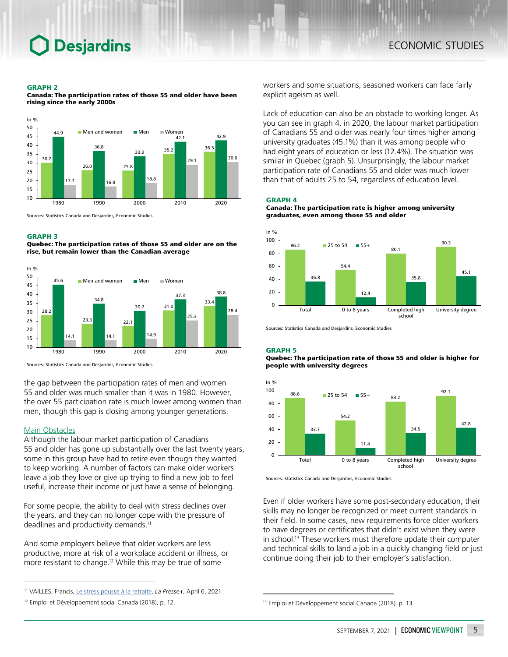#### GRAPH 2

Canada: The participation rates of those 55 and older have been rising since the early 2000s



Sources: Statistics Canada and Desjardins, Economic Studies

#### GRAPH 3

Quebec: The participation rates of those 55 and older are on the rise, but remain lower than the Canadian average



Sources: Statistics Canada and Desjardins, Economic Studies

the gap between the participation rates of men and women 55 and older was much smaller than it was in 1980. However, the over 55 participation rate is much lower among women than men, though this gap is closing among younger generations.

#### Main Obstacles

Although the labour market participation of Canadians 55 and older has gone up substantially over the last twenty years, some in this group have had to retire even though they wanted to keep working. A number of factors can make older workers leave a job they love or give up trying to find a new job to feel useful, increase their income or just have a sense of belonging.

For some people, the ability to deal with stress declines over the years, and they can no longer cope with the pressure of deadlines and productivity demands.<sup>11</sup>

And some employers believe that older workers are less productive, more at risk of a workplace accident or illness, or more resistant to change.12 While this may be true of some

workers and some situations, seasoned workers can face fairly explicit ageism as well.

Lack of education can also be an obstacle to working longer. As you can see in graph 4, in 2020, the labour market participation of Canadians 55 and older was nearly four times higher among university graduates (45.1%) than it was among people who had eight years of education or less (12.4%). The situation was similar in Quebec (graph 5). Unsurprisingly, the labour market participation rate of Canadians 55 and older was much lower than that of adults 25 to 54, regardless of education level.

#### GRAPH 4

#### Canada: The participation rate is higher among university graduates, even among those 55 and older



Sources: Statistics Canada and Desjardins, Economic Studies

#### GRAPH 5

#### Quebec: The participation rate of those 55 and older is higher for people with university degrees



Sources: Statistics Canada and Desjardins, Economic Studies

Even if older workers have some post-secondary education, their skills may no longer be recognized or meet current standards in their field. In some cases, new requirements force older workers to have degrees or certificates that didn't exist when they were in school.13 These workers must therefore update their computer and technical skills to land a job in a quickly changing field or just continue doing their job to their employer's satisfaction.

<sup>11</sup> VAILLES, Francis, [Le stress pousse à la retraite,](https://www.lapresse.ca/affaires/2021-04-06/le-stress-pousse-a-la-retraite.php#:~:text=Une%20augmentation%20d%27un%20point,de%20gestion%2C%20rapporte%20notre%20chroniqueur.) *La Presse+*, April 6, 2021.

<sup>12</sup> Emploi et Développement social Canada (2018), p. 12.

<sup>13</sup> Emploi et Développement social Canada (2018), p. 13.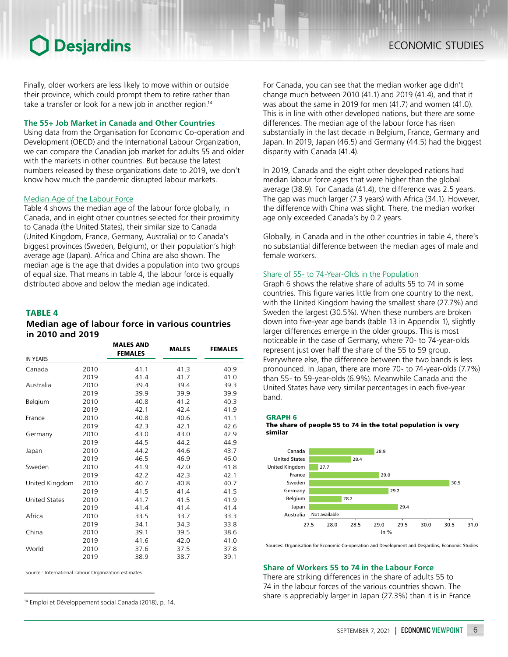Finally, older workers are less likely to move within or outside their province, which could prompt them to retire rather than take a transfer or look for a new job in another region.<sup>14</sup>

### **The 55+ Job Market in Canada and Other Countries**

Using data from the Organisation for Economic Co-operation and Development (OECD) and the International Labour Organization, we can compare the Canadian job market for adults 55 and older with the markets in other countries. But because the latest numbers released by these organizations date to 2019, we don't know how much the pandemic disrupted labour markets.

### Median Age of the Labour Force

Table 4 shows the median age of the labour force globally, in Canada, and in eight other countries selected for their proximity to Canada (the United States), their similar size to Canada (United Kingdom, France, Germany, Australia) or to Canada's biggest provinces (Sweden, Belgium), or their population's high average age (Japan). Africa and China are also shown. The median age is the age that divides a population into two groups of equal size. That means in table 4, the labour force is equally distributed above and below the median age indicated.

### TABLE 4

## *Median age of labour force in various countries in 2010 and 2019*

|                      |      | <b>MALES AND</b><br><b>FEMALES</b> | <b>MALES</b> | <b>FEMALES</b> |
|----------------------|------|------------------------------------|--------------|----------------|
| <b>IN YEARS</b>      |      |                                    |              |                |
| Canada               | 2010 | 41.1                               | 41.3         | 40.9           |
|                      | 2019 | 41.4                               | 41.7         | 41.0           |
| Australia            | 2010 | 39.4                               | 39.4         | 39.3           |
|                      | 2019 | 39.9                               | 39.9         | 39.9           |
| Belgium              | 2010 | 40.8                               | 41.2         | 40.3           |
|                      | 2019 | 42.1                               | 42.4         | 41.9           |
| France               | 2010 | 40.8                               | 40.6         | 41.1           |
|                      | 2019 | 42.3                               | 42.1         | 42.6           |
| Germany              | 2010 | 43.0                               | 43.0         | 42.9           |
|                      | 2019 | 44.5                               | 44.2         | 44.9           |
| Japan                | 2010 | 44.2                               | 44.6         | 43.7           |
|                      | 2019 | 46.5                               | 46.9         | 46.0           |
| Sweden               | 2010 | 41.9                               | 42.0         | 41.8           |
|                      | 2019 | 42.2                               | 42.3         | 42.1           |
| United Kingdom       | 2010 | 40.7                               | 40.8         | 40.7           |
|                      | 2019 | 41.5                               | 41.4         | 41.5           |
| <b>United States</b> | 2010 | 41.7                               | 41.5         | 41.9           |
|                      | 2019 | 41.4                               | 41.4         | 41.4           |
| Africa               | 2010 | 33.5                               | 33.7         | 33.3           |
|                      | 2019 | 34.1                               | 34.3         | 33.8           |
| China                | 2010 | 39.1                               | 39.5         | 38.6           |
|                      | 2019 | 41.6                               | 42.0         | 41.0           |
| World                | 2010 | 37.6                               | 37.5         | 37.8           |
|                      | 2019 | 38.9                               | 38.7         | 39.1           |

Source : International Labour Organization estimates

For Canada, you can see that the median worker age didn't change much between 2010 (41.1) and 2019 (41.4), and that it was about the same in 2019 for men (41.7) and women (41.0). This is in line with other developed nations, but there are some differences. The median age of the labour force has risen substantially in the last decade in Belgium, France, Germany and Japan. In 2019, Japan (46.5) and Germany (44.5) had the biggest disparity with Canada (41.4).

In 2019, Canada and the eight other developed nations had median labour force ages that were higher than the global average (38.9). For Canada (41.4), the difference was 2.5 years. The gap was much larger (7.3 years) with Africa (34.1). However, the difference with China was slight. There, the median worker age only exceeded Canada's by 0.2 years.

Globally, in Canada and in the other countries in table 4, there's no substantial difference between the median ages of male and female workers.

### Share of 55- to 74-Year-Olds in the Population

Graph 6 shows the relative share of adults 55 to 74 in some countries. This figure varies little from one country to the next, with the United Kingdom having the smallest share (27.7%) and Sweden the largest (30.5%). When these numbers are broken down into five-year age bands (table 13 in Appendix 1), slightly larger differences emerge in the older groups. This is most noticeable in the case of Germany, where 70- to 74-year-olds represent just over half the share of the 55 to 59 group. Everywhere else, the difference between the two bands is less pronounced. In Japan, there are more 70- to 74-year-olds (7.7%) than 55- to 59-year-olds (6.9%). Meanwhile Canada and the United States have very similar percentages in each five-year band.

GRAPH 6





Sources: Organisation for Economic Co-operation and Development and Desjardins, Economic Studies

#### **Share of Workers 55 to 74 in the Labour Force**

There are striking differences in the share of adults 55 to 74 in the labour forces of the various countries shown. The share is appreciably larger in Japan (27.3%) than it is in France 14 Emploi et Développement social Canada (2018), p. 14.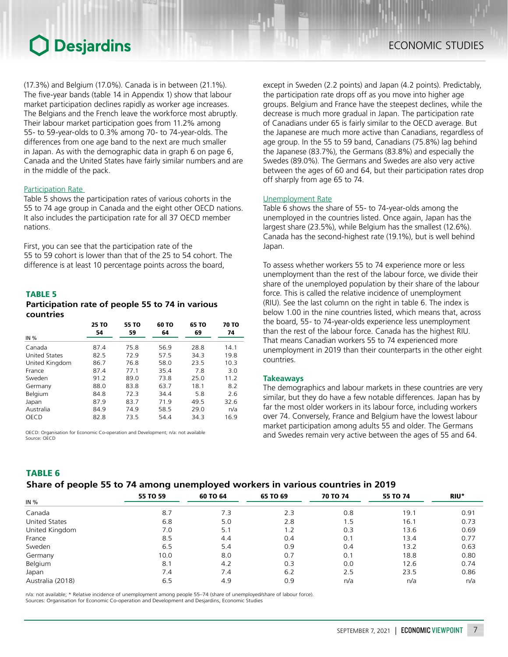(17.3%) and Belgium (17.0%). Canada is in between (21.1%). The five‑year bands (table 14 in Appendix 1) show that labour market participation declines rapidly as worker age increases. The Belgians and the French leave the workforce most abruptly. Their labour market participation goes from 11.2% among 55- to 59-year-olds to 0.3% among 70- to 74-year-olds. The differences from one age band to the next are much smaller in Japan. As with the demographic data in graph 6 on page 6, Canada and the United States have fairly similar numbers and are in the middle of the pack.

### **Participation Rate**

Table 5 shows the participation rates of various cohorts in the 55 to 74 age group in Canada and the eight other OECD nations. It also includes the participation rate for all 37 OECD member nations.

First, you can see that the participation rate of the 55 to 59 cohort is lower than that of the 25 to 54 cohort. The difference is at least 10 percentage points across the board,

#### TABLE 5

### *Participation rate of people 55 to 74 in various countries*

|                      | 25 TO<br>54 | 55 TO<br>59 | 60 TO<br>64 | 65 TO<br>69 | <b>70 TO</b><br>74 |
|----------------------|-------------|-------------|-------------|-------------|--------------------|
| IN $%$               |             |             |             |             |                    |
| Canada               | 87.4        | 75.8        | 56.9        | 28.8        | 14.1               |
| <b>United States</b> | 82.5        | 72.9        | 57.5        | 34.3        | 19.8               |
| United Kingdom       | 86.7        | 76.8        | 58.0        | 23.5        | 10.3               |
| France               | 87.4        | 77.1        | 35.4        | 7.8         | 3.0                |
| Sweden               | 91.2        | 89.0        | 73.8        | 25.0        | 11.2               |
| Germany              | 88.0        | 83.8        | 63.7        | 18.1        | 8.2                |
| Belgium              | 84.8        | 72.3        | 34.4        | 5.8         | 2.6                |
| Japan                | 87.9        | 83.7        | 71.9        | 49.5        | 32.6               |
| Australia            | 84.9        | 74.9        | 58.5        | 29.0        | n/a                |
| OECD                 | 82.8        | 73.5        | 54.4        | 34.3        | 16.9               |

OECD: Organisation for Economic Co-operation and Development; n/a: not available Source: OECD

except in Sweden (2.2 points) and Japan (4.2 points). Predictably, the participation rate drops off as you move into higher age groups. Belgium and France have the steepest declines, while the decrease is much more gradual in Japan. The participation rate of Canadians under 65 is fairly similar to the OECD average. But the Japanese are much more active than Canadians, regardless of age group. In the 55 to 59 band, Canadians (75.8%) lag behind the Japanese (83.7%), the Germans (83.8%) and especially the Swedes (89.0%). The Germans and Swedes are also very active between the ages of 60 and 64, but their participation rates drop off sharply from age 65 to 74.

#### Unemployment Rate

Table 6 shows the share of 55- to 74-year-olds among the unemployed in the countries listed. Once again, Japan has the largest share (23.5%), while Belgium has the smallest (12.6%). Canada has the second-highest rate (19.1%), but is well behind Japan.

To assess whether workers 55 to 74 experience more or less unemployment than the rest of the labour force, we divide their share of the unemployed population by their share of the labour force. This is called the relative incidence of unemployment (RIU). See the last column on the right in table 6. The index is below 1.00 in the nine countries listed, which means that, across the board, 55- to 74-year-olds experience less unemployment than the rest of the labour force. Canada has the highest RIU. That means Canadian workers 55 to 74 experienced more unemployment in 2019 than their counterparts in the other eight countries.

#### **Takeaways**

The demographics and labour markets in these countries are very similar, but they do have a few notable differences. Japan has by far the most older workers in its labour force, including workers over 74. Conversely, France and Belgium have the lowest labour market participation among adults 55 and older. The Germans and Swedes remain very active between the ages of 55 and 64.

## TABLE 6

## *Share of people 55 to 74 among unemployed workers in various countries in 2019*

|                      | -        | -        |          |                 |          |      |
|----------------------|----------|----------|----------|-----------------|----------|------|
| IN $%$               | 55 TO 59 | 60 TO 64 | 65 TO 69 | <b>70 TO 74</b> | 55 TO 74 | RIU* |
|                      |          |          |          |                 |          |      |
| Canada               | 8.7      | 7.3      | 2.3      | 0.8             | 19.1     | 0.91 |
| <b>United States</b> | 6.8      | 5.0      | 2.8      | 1.5             | 16.1     | 0.73 |
| United Kingdom       | 7.0      | 5.1      | 2. ا     | 0.3             | 13.6     | 0.69 |
| France               | 8.5      | 4.4      | 0.4      | 0.1             | 13.4     | 0.77 |
| Sweden               | 6.5      | 5.4      | 0.9      | 0.4             | 13.2     | 0.63 |
| Germany              | 10.0     | 8.0      | 0.7      | 0.1             | 18.8     | 0.80 |
| Belgium              | 8.1      | 4.2      | 0.3      | 0.0             | 12.6     | 0.74 |
| Japan                | 7.4      | 7.4      | 6.2      | 2.5             | 23.5     | 0.86 |
| Australia (2018)     | 6.5      | 4.9      | 0.9      | n/a             | n/a      | n/a  |

n/a: not available; \* Relative incidence of unemployment among people 55–74 (share of unemployed/share of labour force). Sources: Organisation for Economic Co-operation and Development and Desjardins, Economic Studies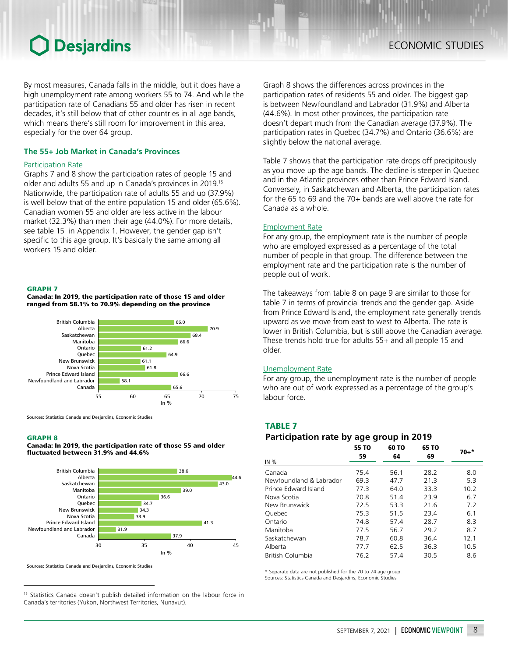By most measures, Canada falls in the middle, but it does have a high unemployment rate among workers 55 to 74. And while the participation rate of Canadians 55 and older has risen in recent decades, it's still below that of other countries in all age bands, which means there's still room for improvement in this area, especially for the over 64 group.

### **The 55+ Job Market in Canada's Provinces**

### Participation Rate

Graphs 7 and 8 show the participation rates of people 15 and older and adults 55 and up in Canada's provinces in 2019.15 Nationwide, the participation rate of adults 55 and up (37.9%) is well below that of the entire population 15 and older (65.6%). Canadian women 55 and older are less active in the labour market (32.3%) than men their age (44.0%). For more details, see table 15 in Appendix 1. However, the gender gap isn't specific to this age group. It's basically the same among all workers 15 and older.

#### GRAPH 7

Canada: In 2019, the participation rate of those 15 and older ranged from 58.1% to 70.9% depending on the province



Sources: Statistics Canada and Desjardins, Economic Studies

#### GRAPH 8

Canada: In 2019, the participation rate of those 55 and older fluctuated between 31.9% and 44.6%



Sources: Statistics Canada and Desjardins, Economic Studies

<sup>15</sup> Statistics Canada doesn't publish detailed information on the labour force in Canada's territories (Yukon, Northwest Territories, Nunavut).

Graph 8 shows the differences across provinces in the participation rates of residents 55 and older. The biggest gap is between Newfoundland and Labrador (31.9%) and Alberta (44.6%). In most other provinces, the participation rate doesn't depart much from the Canadian average (37.9%). The participation rates in Quebec (34.7%) and Ontario (36.6%) are slightly below the national average.

Table 7 shows that the participation rate drops off precipitously as you move up the age bands. The decline is steeper in Quebec and in the Atlantic provinces other than Prince Edward Island. Conversely, in Saskatchewan and Alberta, the participation rates for the 65 to 69 and the 70+ bands are well above the rate for Canada as a whole.

#### Employment Rate

For any group, the employment rate is the number of people who are employed expressed as a percentage of the total number of people in that group. The difference between the employment rate and the participation rate is the number of people out of work.

The takeaways from table 8 on page 9 are similar to those for table 7 in terms of provincial trends and the gender gap. Aside from Prince Edward Island, the employment rate generally trends upward as we move from east to west to Alberta. The rate is lower in British Columbia, but is still above the Canadian average. These trends hold true for adults 55+ and all people 15 and older.

#### Unemployment Rate

For any group, the unemployment rate is the number of people who are out of work expressed as a percentage of the group's labour force.

### TABLE 7

## *Participation rate by age group in 2019*

| IN $%$                  | 55 TO<br>59 | 60 TO<br>64 | 65 TO<br>69 | $70+*$ |
|-------------------------|-------------|-------------|-------------|--------|
|                         |             |             |             |        |
| Canada                  | 75.4        | 56.1        | 28.2        | 8.0    |
| Newfoundland & Labrador | 69.3        | 47.7        | 21.3        | 5.3    |
| Prince Edward Island    | 77.3        | 64.0        | 33.3        | 10.2   |
| Nova Scotia             | 70.8        | 51.4        | 23.9        | 6.7    |
| New Brunswick           | 72.5        | 53.3        | 21.6        | 7.2    |
| Quebec                  | 75.3        | 515         | 23.4        | 6.1    |
| Ontario                 | 74.8        | 57.4        | 28.7        | 8.3    |
| Manitoba                | 775         | 56.7        | 29.2        | 8.7    |
| Saskatchewan            | 78.7        | 60.8        | 36.4        | 12.1   |
| Alberta                 | 77.7        | 62.5        | 36.3        | 10.5   |
| <b>British Columbia</b> | 76.2        | 57.4        | 30.5        | 8.6    |

\* Separate data are not published for the 70 to 74 age group. Sources: Statistics Canada and Desjardins, Economic Studi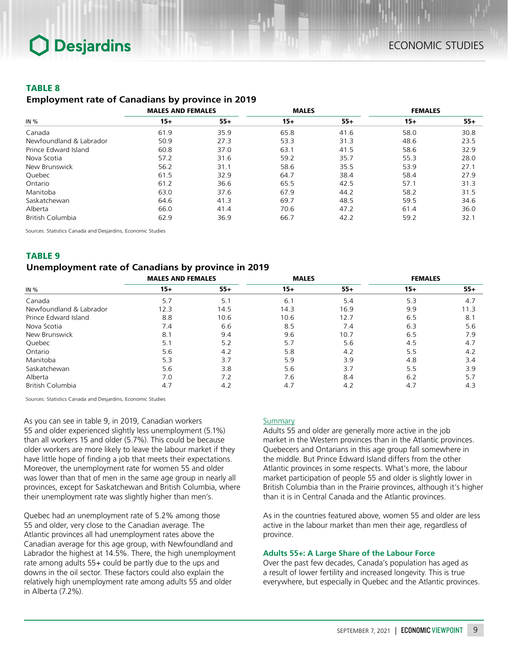## TABLE 8

### *Employment rate of Canadians by province in 2019*

|                         | <b>MALES AND FEMALES</b> |       | <b>MALES</b> |       | <b>FEMALES</b> |       |
|-------------------------|--------------------------|-------|--------------|-------|----------------|-------|
| IN $%$                  | $15+$                    | $55+$ | $15+$        | $55+$ | $15+$          | $55+$ |
| Canada                  | 61.9                     | 35.9  | 65.8         | 41.6  | 58.0           | 30.8  |
| Newfoundland & Labrador | 50.9                     | 27.3  | 53.3         | 31.3  | 48.6           | 23.5  |
| Prince Edward Island    | 60.8                     | 37.0  | 63.1         | 41.5  | 58.6           | 32.9  |
| Nova Scotia             | 57.2                     | 31.6  | 59.2         | 35.7  | 55.3           | 28.0  |
| New Brunswick           | 56.2                     | 31.1  | 58.6         | 35.5  | 53.9           | 27.1  |
| Quebec                  | 61.5                     | 32.9  | 64.7         | 38.4  | 58.4           | 27.9  |
| Ontario                 | 61.2                     | 36.6  | 65.5         | 42.5  | 57.1           | 31.3  |
| Manitoba                | 63.0                     | 37.6  | 67.9         | 44.2  | 58.2           | 31.5  |
| Saskatchewan            | 64.6                     | 41.3  | 69.7         | 48.5  | 59.5           | 34.6  |
| Alberta                 | 66.0                     | 41.4  | 70.6         | 47.2  | 61.4           | 36.0  |
| British Columbia        | 62.9                     | 36.9  | 66.7         | 42.2  | 59.2           | 32.1  |

Sources: Statistics Canada and Desjardins, Economic Studies

## TABLE 9

## *Unemployment rate of Canadians by province in 2019*

|                         | <b>MALES AND FEMALES</b> |       | <b>MALES</b> |       | <b>FEMALES</b> |       |
|-------------------------|--------------------------|-------|--------------|-------|----------------|-------|
| IN $%$                  | $15+$                    | $55+$ | $15+$        | $55+$ | $15+$          | $55+$ |
| Canada                  | 5.7                      | 5.1   | 6.1          | 5.4   | 5.3            | 4.7   |
| Newfoundland & Labrador | 12.3                     | 14.5  | 14.3         | 16.9  | 9.9            | 11.3  |
| Prince Edward Island    | 8.8                      | 10.6  | 10.6         | 12.7  | 6.5            | 8.1   |
| Nova Scotia             | 7.4                      | 6.6   | 8.5          | 7.4   | 6.3            | 5.6   |
| New Brunswick           | 8.1                      | 9.4   | 9.6          | 10.7  | 6.5            | 7.9   |
| Quebec                  | 5.1                      | 5.2   | 5.7          | 5.6   | 4.5            | 4.7   |
| Ontario                 | 5.6                      | 4.2   | 5.8          | 4.2   | 5.5            | 4.2   |
| Manitoba                | 5.3                      | 3.7   | 5.9          | 3.9   | 4.8            | 3.4   |
| Saskatchewan            | 5.6                      | 3.8   | 5.6          | 3.7   | 5.5            | 3.9   |
| Alberta                 | 7.0                      | 7.2   | 7.6          | 8.4   | 6.2            | 5.7   |
| British Columbia        | 4.7                      | 4.2   | 4.7          | 4.2   | 4.7            | 4.3   |

Sources: Statistics Canada and Desjardins, Economic Studies

As you can see in table 9, in 2019, Canadian workers 55 and older experienced slightly less unemployment (5.1%) than all workers 15 and older (5.7%). This could be because older workers are more likely to leave the labour market if they have little hope of finding a job that meets their expectations. Moreover, the unemployment rate for women 55 and older was lower than that of men in the same age group in nearly all provinces, except for Saskatchewan and British Columbia, where their unemployment rate was slightly higher than men's.

Quebec had an unemployment rate of 5.2% among those 55 and older, very close to the Canadian average. The Atlantic provinces all had unemployment rates above the Canadian average for this age group, with Newfoundland and Labrador the highest at 14.5%. There, the high unemployment rate among adults 55+ could be partly due to the ups and downs in the oil sector. These factors could also explain the relatively high unemployment rate among adults 55 and older in Alberta (7.2%).

### **Summary**

Adults 55 and older are generally more active in the job market in the Western provinces than in the Atlantic provinces. Quebecers and Ontarians in this age group fall somewhere in the middle. But Prince Edward Island differs from the other Atlantic provinces in some respects. What's more, the labour market participation of people 55 and older is slightly lower in British Columbia than in the Prairie provinces, although it's higher than it is in Central Canada and the Atlantic provinces.

As in the countries featured above, women 55 and older are less active in the labour market than men their age, regardless of province.

### **Adults 55+: A Large Share of the Labour Force**

Over the past few decades, Canada's population has aged as a result of lower fertility and increased longevity. This is true everywhere, but especially in Quebec and the Atlantic provinces.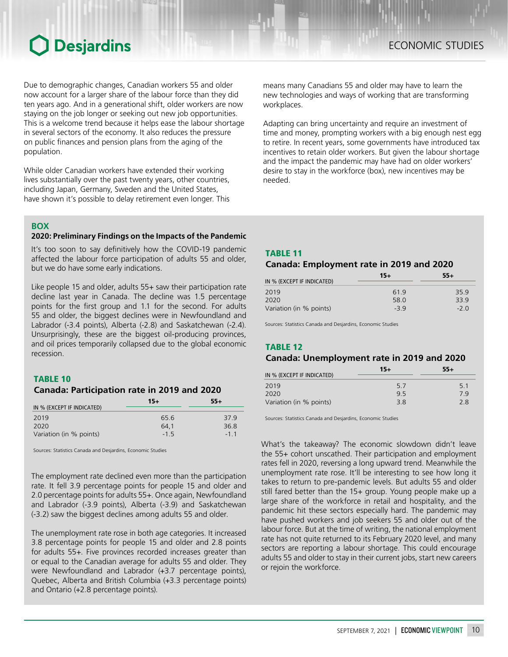Due to demographic changes, Canadian workers 55 and older now account for a larger share of the labour force than they did ten years ago. And in a generational shift, older workers are now staying on the job longer or seeking out new job opportunities. This is a welcome trend because it helps ease the labour shortage in several sectors of the economy. It also reduces the pressure on public finances and pension plans from the aging of the population.

While older Canadian workers have extended their working lives substantially over the past twenty years, other countries, including Japan, Germany, Sweden and the United States, have shown it's possible to delay retirement even longer. This

### **BOX**

### **2020: Preliminary Findings on the Impacts of the Pandemic**

It's too soon to say definitively how the COVID-19 pandemic affected the labour force participation of adults 55 and older, but we do have some early indications.

Like people 15 and older, adults 55+ saw their participation rate decline last year in Canada. The decline was 1.5 percentage points for the first group and 1.1 for the second. For adults 55 and older, the biggest declines were in Newfoundland and Labrador (-3.4 points), Alberta (-2.8) and Saskatchewan (-2.4). Unsurprisingly, these are the biggest oil-producing provinces, and oil prices temporarily collapsed due to the global economic recession.

### TABLE 10

## *Canada: Participation rate in 2019 and 2020*

|                            | $15+$ | $55+$  |  |
|----------------------------|-------|--------|--|
| IN % (EXCEPT IF INDICATED) |       |        |  |
| 2019                       | 65.6  | 379    |  |
| 2020                       | 64.1  | 36.8   |  |
| Variation (in % points)    | $-15$ | $-1$ 1 |  |

Sources: Statistics Canada and Desjardins, Economic Studies

The employment rate declined even more than the participation rate. It fell 3.9 percentage points for people 15 and older and 2.0 percentage points for adults 55+. Once again, Newfoundland and Labrador (-3.9 points), Alberta (-3.9) and Saskatchewan (-3.2) saw the biggest declines among adults 55 and older.

The unemployment rate rose in both age categories. It increased 3.8 percentage points for people 15 and older and 2.8 points for adults 55+. Five provinces recorded increases greater than or equal to the Canadian average for adults 55 and older. They were Newfoundland and Labrador (+3.7 percentage points), Quebec, Alberta and British Columbia (+3.3 percentage points) and Ontario (+2.8 percentage points).

means many Canadians 55 and older may have to learn the new technologies and ways of working that are transforming workplaces.

Adapting can bring uncertainty and require an investment of time and money, prompting workers with a big enough nest egg to retire. In recent years, some governments have introduced tax incentives to retain older workers. But given the labour shortage and the impact the pandemic may have had on older workers' desire to stay in the workforce (box), new incentives may be needed.

TABLE 11

### *Canada: Employment rate in 2019 and 2020*

|                            | $15+$ | $55+$ |  |
|----------------------------|-------|-------|--|
| IN % (EXCEPT IF INDICATED) |       |       |  |
| 2019                       | 619   | 35.9  |  |
| 2020                       | 58.0  | 339   |  |
| Variation (in % points)    | $-39$ | $-20$ |  |

Sources: Statistics Canada and Desjardins, Economic Studies

## TABLE 12

## *Canada: Unemployment rate in 2019 and 2020*

|                            | 15+ | $55+$ |
|----------------------------|-----|-------|
| IN % (EXCEPT IF INDICATED) |     |       |
| 2019                       | 5.7 | 5.1   |
| 2020                       | 95  | 7 Q   |
| Variation (in % points)    | 38  | 28    |

Sources: Statistics Canada and Desjardins, Economic Studies

What's the takeaway? The economic slowdown didn't leave the 55+ cohort unscathed. Their participation and employment rates fell in 2020, reversing a long upward trend. Meanwhile the unemployment rate rose. It'll be interesting to see how long it takes to return to pre-pandemic levels. But adults 55 and older still fared better than the 15+ group. Young people make up a large share of the workforce in retail and hospitality, and the pandemic hit these sectors especially hard. The pandemic may have pushed workers and job seekers 55 and older out of the labour force. But at the time of writing, the national employment rate has not quite returned to its February 2020 level, and many sectors are reporting a labour shortage. This could encourage adults 55 and older to stay in their current jobs, start new careers or rejoin the workforce.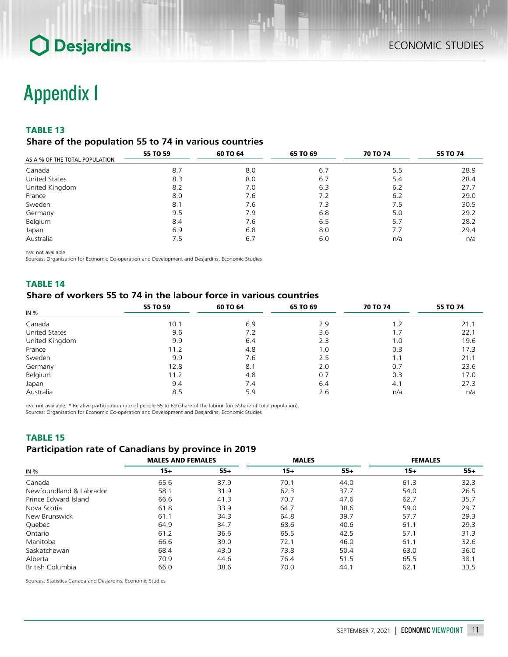## Appendix 1

## TABLE 13

## *Share of the population 55 to 74 in various countries*

| AS A % OF THE TOTAL POPULATION | 55 TO 59 | 60 TO 64 | 65 TO 69 | <b>70 TO 74</b> | 55 TO 74 |  |
|--------------------------------|----------|----------|----------|-----------------|----------|--|
|                                |          |          |          |                 |          |  |
| Canada                         | 8.7      | 8.0      | 6.7      | 5.5             | 28.9     |  |
| <b>United States</b>           | 8.3      | 8.0      | 6.7      | 5.4             | 28.4     |  |
| United Kingdom                 | 8.2      | 7.0      | 6.3      | 6.2             | 27.7     |  |
| France                         | 8.0      | 7.6      | 7.2      | 6.2             | 29.0     |  |
| Sweden                         | 8.1      | 7.6      | 7.3      | 7.5             | 30.5     |  |
| Germany                        | 9.5      | 7.9      | 6.8      | 5.0             | 29.2     |  |
| Belgium                        | 8.4      | 7.6      | 6.5      | 5.7             | 28.2     |  |
| Japan                          | 6.9      | 6.8      | 8.0      | 7.7             | 29.4     |  |
| Australia                      | 7.5      | 6.7      | 6.0      | n/a             | n/a      |  |

n/a: not available

Sources: Organisation for Economic Co-operation and Development and Desjardins, Economic Studies

## TABLE 14

## *Share of workers 55 to 74 in the labour force in various countries*

|                      | 55 TO 59 | 60 TO 64 | 65 TO 69 | <b>70 TO 74</b> | 55 TO 74 |  |
|----------------------|----------|----------|----------|-----------------|----------|--|
| IN %                 |          |          |          |                 |          |  |
| Canada               | 10.1     | 6.9      | 2.9      | 1.2             | 21.1     |  |
| <b>United States</b> | 9.6      | 7.2      | 3.6      | 1.7             | 22.1     |  |
| United Kingdom       | 9.9      | 6.4      | 2.3      | 1.0             | 19.6     |  |
| France               | 11.2     | 4.8      | 1.0      | 0.3             | 17.3     |  |
| Sweden               | 9.9      | 7.6      | 2.5      | 1.1             | 21.1     |  |
| Germany              | 12.8     | 8.1      | 2.0      | 0.7             | 23.6     |  |
| Belgium              | 11.2     | 4.8      | 0.7      | 0.3             | 17.0     |  |
| Japan                | 9.4      | 7.4      | 6.4      | 4.1             | 27.3     |  |
| Australia            | 8.5      | 5.9      | 2.6      | n/a             | n/a      |  |

n/a: not available; \* Relative participation rate of people 55 to 69 (share of the labour force/share of total population). Sources: Organisation for Economic Co-operation and Development and Desjardins, Economic Studies

## TABLE 15 *Participation rate of Canadians by province in 2019*

| IN $%$                  | <b>MALES AND FEMALES</b> |       | <b>MALES</b> |       | <b>FEMALES</b> |       |
|-------------------------|--------------------------|-------|--------------|-------|----------------|-------|
|                         | $15+$                    | $55+$ | $15+$        | $55+$ | $15+$          | $55+$ |
| Canada                  | 65.6                     | 37.9  | 70.1         | 44.0  | 61.3           | 32.3  |
| Newfoundland & Labrador | 58.1                     | 31.9  | 62.3         | 37.7  | 54.0           | 26.5  |
| Prince Edward Island    | 66.6                     | 41.3  | 70.7         | 47.6  | 62.7           | 35.7  |
| Nova Scotia             | 61.8                     | 33.9  | 64.7         | 38.6  | 59.0           | 29.7  |
| New Brunswick           | 61.1                     | 34.3  | 64.8         | 39.7  | 57.7           | 29.3  |
| Quebec                  | 64.9                     | 34.7  | 68.6         | 40.6  | 61.1           | 29.3  |
| Ontario                 | 61.2                     | 36.6  | 65.5         | 42.5  | 57.1           | 31.3  |
| Manitoba                | 66.6                     | 39.0  | 72.1         | 46.0  | 61.1           | 32.6  |
| Saskatchewan            | 68.4                     | 43.0  | 73.8         | 50.4  | 63.0           | 36.0  |
| Alberta                 | 70.9                     | 44.6  | 76.4         | 51.5  | 65.5           | 38.1  |
| British Columbia        | 66.0                     | 38.6  | 70.0         | 44.1  | 62.1           | 33.5  |

Sources: Statistics Canada and Desjardins, Economic Studies